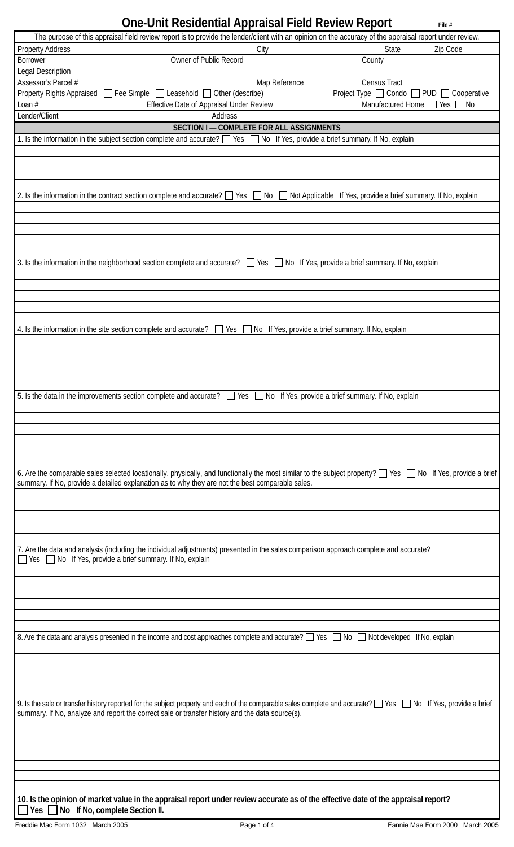# **One-Unit Residential Appraisal Field Review Report File #** File #

|                           | $\sim$ . The restaurance is the contract that is the restaurance of $\sim$<br>The purpose of this appraisal field review report is to provide the lender/client with an opinion on the accuracy of the appraisal report under review.                               |                                                           |                                                                |
|---------------------------|---------------------------------------------------------------------------------------------------------------------------------------------------------------------------------------------------------------------------------------------------------------------|-----------------------------------------------------------|----------------------------------------------------------------|
| <b>Property Address</b>   |                                                                                                                                                                                                                                                                     | City                                                      | State<br>Zip Code                                              |
| <b>Borrower</b>           | Owner of Public Record                                                                                                                                                                                                                                              | County                                                    |                                                                |
| Legal Description         |                                                                                                                                                                                                                                                                     |                                                           |                                                                |
| Assessor's Parcel #       |                                                                                                                                                                                                                                                                     | Map Reference                                             | <b>Census Tract</b>                                            |
| Property Rights Appraised | Fee Simple<br>Leasehold [<br>Other (describe)                                                                                                                                                                                                                       | Project Type                                              | Condo<br><b>PUD</b><br>Cooperative<br>$\blacksquare$           |
| Loan $#$                  | Effective Date of Appraisal Under Review                                                                                                                                                                                                                            |                                                           | Manufactured Home<br><b>No</b><br>Yes                          |
| Lender/Client             | Address                                                                                                                                                                                                                                                             |                                                           |                                                                |
|                           | SECTION I - COMPLETE FOR ALL ASSIGNMENTS                                                                                                                                                                                                                            |                                                           |                                                                |
|                           | 1. Is the information in the subject section complete and accurate? $\Box$ Yes $\Box$ No If Yes, provide a brief summary. If No, explain                                                                                                                            |                                                           |                                                                |
|                           |                                                                                                                                                                                                                                                                     |                                                           |                                                                |
|                           |                                                                                                                                                                                                                                                                     |                                                           |                                                                |
|                           |                                                                                                                                                                                                                                                                     |                                                           |                                                                |
|                           |                                                                                                                                                                                                                                                                     |                                                           |                                                                |
|                           | 2. Is the information in the contract section complete and accurate? $\Box$ Yes                                                                                                                                                                                     | No                                                        | Not Applicable If Yes, provide a brief summary. If No, explain |
|                           |                                                                                                                                                                                                                                                                     |                                                           |                                                                |
|                           |                                                                                                                                                                                                                                                                     |                                                           |                                                                |
|                           |                                                                                                                                                                                                                                                                     |                                                           |                                                                |
|                           |                                                                                                                                                                                                                                                                     |                                                           |                                                                |
|                           | 3. Is the information in the neighborhood section complete and accurate?                                                                                                                                                                                            | Yes<br>No If Yes, provide a brief summary. If No, explain |                                                                |
|                           |                                                                                                                                                                                                                                                                     |                                                           |                                                                |
|                           |                                                                                                                                                                                                                                                                     |                                                           |                                                                |
|                           |                                                                                                                                                                                                                                                                     |                                                           |                                                                |
|                           |                                                                                                                                                                                                                                                                     |                                                           |                                                                |
|                           |                                                                                                                                                                                                                                                                     |                                                           |                                                                |
|                           | 4. Is the information in the site section complete and accurate?<br>Yes                                                                                                                                                                                             | No If Yes, provide a brief summary. If No, explain        |                                                                |
|                           |                                                                                                                                                                                                                                                                     |                                                           |                                                                |
|                           |                                                                                                                                                                                                                                                                     |                                                           |                                                                |
|                           |                                                                                                                                                                                                                                                                     |                                                           |                                                                |
|                           |                                                                                                                                                                                                                                                                     |                                                           |                                                                |
|                           |                                                                                                                                                                                                                                                                     |                                                           |                                                                |
|                           | 5. Is the data in the improvements section complete and accurate?<br>Yes                                                                                                                                                                                            | No If Yes, provide a brief summary. If No, explain        |                                                                |
|                           |                                                                                                                                                                                                                                                                     |                                                           |                                                                |
|                           |                                                                                                                                                                                                                                                                     |                                                           |                                                                |
|                           |                                                                                                                                                                                                                                                                     |                                                           |                                                                |
|                           |                                                                                                                                                                                                                                                                     |                                                           |                                                                |
|                           |                                                                                                                                                                                                                                                                     |                                                           |                                                                |
|                           | 6. Are the comparable sales selected locationally, physically, and functionally the most similar to the subject property? Secubion of Yes Are Theory of the subject property? Secubion of Yes, provide a brief                                                      |                                                           |                                                                |
|                           | summary. If No, provide a detailed explanation as to why they are not the best comparable sales.                                                                                                                                                                    |                                                           |                                                                |
|                           |                                                                                                                                                                                                                                                                     |                                                           |                                                                |
|                           |                                                                                                                                                                                                                                                                     |                                                           |                                                                |
|                           |                                                                                                                                                                                                                                                                     |                                                           |                                                                |
|                           |                                                                                                                                                                                                                                                                     |                                                           |                                                                |
|                           | 7. Are the data and analysis (including the individual adjustments) presented in the sales comparison approach complete and accurate?                                                                                                                               |                                                           |                                                                |
| Yes                       | No If Yes, provide a brief summary. If No, explain                                                                                                                                                                                                                  |                                                           |                                                                |
|                           |                                                                                                                                                                                                                                                                     |                                                           |                                                                |
|                           |                                                                                                                                                                                                                                                                     |                                                           |                                                                |
|                           |                                                                                                                                                                                                                                                                     |                                                           |                                                                |
|                           |                                                                                                                                                                                                                                                                     |                                                           |                                                                |
|                           |                                                                                                                                                                                                                                                                     |                                                           |                                                                |
|                           |                                                                                                                                                                                                                                                                     |                                                           |                                                                |
|                           | 8. Are the data and analysis presented in the income and cost approaches complete and accurate? [                                                                                                                                                                   | Yes<br>No                                                 | Not developed If No, explain                                   |
|                           |                                                                                                                                                                                                                                                                     |                                                           |                                                                |
|                           |                                                                                                                                                                                                                                                                     |                                                           |                                                                |
|                           |                                                                                                                                                                                                                                                                     |                                                           |                                                                |
|                           |                                                                                                                                                                                                                                                                     |                                                           |                                                                |
|                           |                                                                                                                                                                                                                                                                     |                                                           |                                                                |
|                           | 9. Is the sale or transfer history reported for the subject property and each of the comparable sales complete and accurate? Seconders Seconder Seconder a brief<br>summary. If No, analyze and report the correct sale or transfer history and the data source(s). |                                                           |                                                                |
|                           |                                                                                                                                                                                                                                                                     |                                                           |                                                                |
|                           |                                                                                                                                                                                                                                                                     |                                                           |                                                                |
|                           |                                                                                                                                                                                                                                                                     |                                                           |                                                                |
|                           |                                                                                                                                                                                                                                                                     |                                                           |                                                                |
|                           |                                                                                                                                                                                                                                                                     |                                                           |                                                                |
|                           |                                                                                                                                                                                                                                                                     |                                                           |                                                                |
|                           |                                                                                                                                                                                                                                                                     |                                                           |                                                                |
|                           | 10. Is the opinion of market value in the appraisal report under review accurate as of the effective date of the appraisal report?                                                                                                                                  |                                                           |                                                                |
| Yes $\Gamma$              | $\overline{\phantom{a}}$ No If No, complete Section II.                                                                                                                                                                                                             |                                                           |                                                                |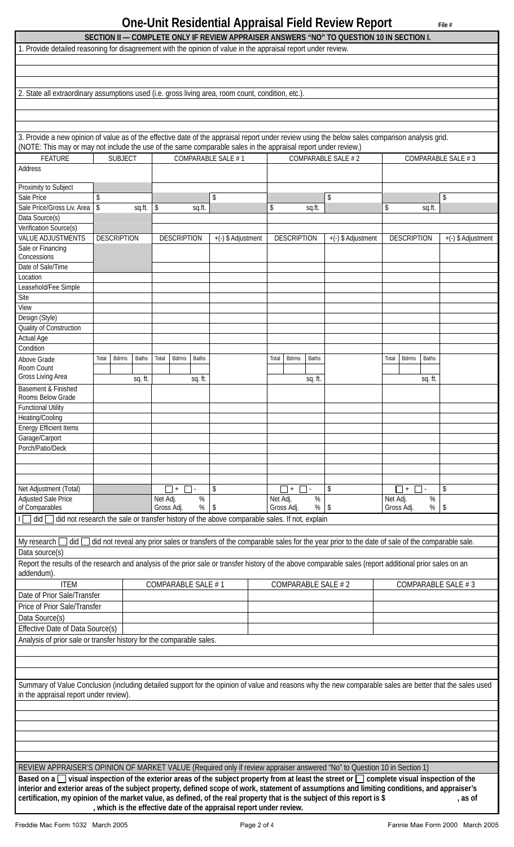# **One-Unit Residential Appraisal Field Review Report** File #

| 1. Provide detailed reasoning for disagreement with the opinion of value in the appraisal report under review.                                                                                                                                                                     |                         |              |                       |              |                                                                     | SECTION II — COMPLETE ONLY IF REVIEW APPRAISER ANSWERS "NO" TO QUESTION 10 IN SECTION I.     |                    |                                                                                                                                    |                    |
|------------------------------------------------------------------------------------------------------------------------------------------------------------------------------------------------------------------------------------------------------------------------------------|-------------------------|--------------|-----------------------|--------------|---------------------------------------------------------------------|----------------------------------------------------------------------------------------------|--------------------|------------------------------------------------------------------------------------------------------------------------------------|--------------------|
|                                                                                                                                                                                                                                                                                    |                         |              |                       |              |                                                                     |                                                                                              |                    |                                                                                                                                    |                    |
|                                                                                                                                                                                                                                                                                    |                         |              |                       |              |                                                                     |                                                                                              |                    |                                                                                                                                    |                    |
|                                                                                                                                                                                                                                                                                    |                         |              |                       |              |                                                                     |                                                                                              |                    |                                                                                                                                    |                    |
| 2. State all extraordinary assumptions used (i.e. gross living area, room count, condition, etc.).                                                                                                                                                                                 |                         |              |                       |              |                                                                     |                                                                                              |                    |                                                                                                                                    |                    |
|                                                                                                                                                                                                                                                                                    |                         |              |                       |              |                                                                     |                                                                                              |                    |                                                                                                                                    |                    |
| 3. Provide a new opinion of value as of the effective date of the appraisal report under review using the below sales comparison analysis grid.                                                                                                                                    |                         |              |                       |              |                                                                     |                                                                                              |                    |                                                                                                                                    |                    |
| (NOTE: This may or may not include the use of the same comparable sales in the appraisal report under review.)                                                                                                                                                                     |                         |              |                       |              |                                                                     |                                                                                              |                    |                                                                                                                                    |                    |
| <b>FEATURE</b><br>Address                                                                                                                                                                                                                                                          | <b>SUBJECT</b>          |              |                       |              | COMPARABLE SALE #1                                                  |                                                                                              | COMPARABLE SALE #2 |                                                                                                                                    | COMPARABLE SALE #3 |
| Proximity to Subject                                                                                                                                                                                                                                                               |                         |              |                       |              |                                                                     |                                                                                              |                    |                                                                                                                                    |                    |
| Sale Price                                                                                                                                                                                                                                                                         | \$                      |              |                       |              | \$                                                                  |                                                                                              | \$                 |                                                                                                                                    | \$                 |
| Sale Price/Gross Liv. Area                                                                                                                                                                                                                                                         | $\sqrt[6]{\frac{1}{2}}$ | sq.ft.       | \$                    | sq.ft.       |                                                                     | \$<br>sq.ft.                                                                                 |                    | \$<br>sq.ft.                                                                                                                       |                    |
| Data Source(s)                                                                                                                                                                                                                                                                     |                         |              |                       |              |                                                                     |                                                                                              |                    |                                                                                                                                    |                    |
| Verification Source(s)<br><b>VALUE ADJUSTMENTS</b>                                                                                                                                                                                                                                 | <b>DESCRIPTION</b>      |              | <b>DESCRIPTION</b>    |              |                                                                     | <b>DESCRIPTION</b>                                                                           |                    | <b>DESCRIPTION</b>                                                                                                                 |                    |
| Sale or Financing                                                                                                                                                                                                                                                                  |                         |              |                       |              | +(-) \$ Adjustment                                                  |                                                                                              | +(-) \$ Adjustment |                                                                                                                                    | +(-) \$ Adjustment |
| Concessions                                                                                                                                                                                                                                                                        |                         |              |                       |              |                                                                     |                                                                                              |                    |                                                                                                                                    |                    |
| Date of Sale/Time                                                                                                                                                                                                                                                                  |                         |              |                       |              |                                                                     |                                                                                              |                    |                                                                                                                                    |                    |
| Location<br>Leasehold/Fee Simple                                                                                                                                                                                                                                                   |                         |              |                       |              |                                                                     |                                                                                              |                    |                                                                                                                                    |                    |
| Site                                                                                                                                                                                                                                                                               |                         |              |                       |              |                                                                     |                                                                                              |                    |                                                                                                                                    |                    |
| View                                                                                                                                                                                                                                                                               |                         |              |                       |              |                                                                     |                                                                                              |                    |                                                                                                                                    |                    |
| Design (Style)                                                                                                                                                                                                                                                                     |                         |              |                       |              |                                                                     |                                                                                              |                    |                                                                                                                                    |                    |
| Quality of Construction                                                                                                                                                                                                                                                            |                         |              |                       |              |                                                                     |                                                                                              |                    |                                                                                                                                    |                    |
| <b>Actual Age</b><br>Condition                                                                                                                                                                                                                                                     |                         |              |                       |              |                                                                     |                                                                                              |                    |                                                                                                                                    |                    |
| Above Grade                                                                                                                                                                                                                                                                        | <b>Bdrms</b><br>Total   | <b>Baths</b> | Total<br><b>Bdrms</b> | <b>Baths</b> |                                                                     | <b>Bdrms</b><br><b>Baths</b><br>Total                                                        |                    | <b>Baths</b><br>Total<br><b>Bdrms</b>                                                                                              |                    |
| Room Count                                                                                                                                                                                                                                                                         |                         |              |                       |              |                                                                     |                                                                                              |                    |                                                                                                                                    |                    |
| Gross Living Area<br>Basement & Finished                                                                                                                                                                                                                                           |                         | sq. ft.      |                       | sq. ft.      |                                                                     | sq. ft.                                                                                      |                    | sq. ft.                                                                                                                            |                    |
| Rooms Below Grade<br><b>Functional Utility</b>                                                                                                                                                                                                                                     |                         |              |                       |              |                                                                     |                                                                                              |                    |                                                                                                                                    |                    |
| Heating/Cooling                                                                                                                                                                                                                                                                    |                         |              |                       |              |                                                                     |                                                                                              |                    |                                                                                                                                    |                    |
| <b>Energy Efficient Items</b>                                                                                                                                                                                                                                                      |                         |              |                       |              |                                                                     |                                                                                              |                    |                                                                                                                                    |                    |
| Garage/Carport<br>Porch/Patio/Deck                                                                                                                                                                                                                                                 |                         |              |                       |              |                                                                     |                                                                                              |                    |                                                                                                                                    |                    |
|                                                                                                                                                                                                                                                                                    |                         |              |                       |              |                                                                     |                                                                                              |                    |                                                                                                                                    |                    |
|                                                                                                                                                                                                                                                                                    |                         |              |                       |              |                                                                     |                                                                                              |                    |                                                                                                                                    |                    |
|                                                                                                                                                                                                                                                                                    |                         |              |                       |              |                                                                     |                                                                                              |                    |                                                                                                                                    |                    |
| Net Adjustment (Total)<br><b>Adjusted Sale Price</b>                                                                                                                                                                                                                               |                         |              | $+$<br>Net Adj.       | $\%$         | \$                                                                  | $\Box$ +<br>$\mathbf{L}$<br>$\%$<br>Net Adj.                                                 | \$                 | $  \cdot  $<br>$\blacksquare$<br>$\%$<br>Net Adj.                                                                                  | \$                 |
| of Comparables                                                                                                                                                                                                                                                                     |                         |              | Gross Adj.            | %            | S.                                                                  | Gross Adj.<br>%                                                                              | S                  | Gross Adj.<br>%                                                                                                                    | \$                 |
| $did \Box$                                                                                                                                                                                                                                                                         |                         |              |                       |              |                                                                     | did not research the sale or transfer history of the above comparable sales. If not, explain |                    |                                                                                                                                    |                    |
|                                                                                                                                                                                                                                                                                    |                         |              |                       |              |                                                                     |                                                                                              |                    |                                                                                                                                    |                    |
| My research<br>did [                                                                                                                                                                                                                                                               |                         |              |                       |              |                                                                     |                                                                                              |                    | did not reveal any prior sales or transfers of the comparable sales for the year prior to the date of sale of the comparable sale. |                    |
| Data source(s)<br>Report the results of the research and analysis of the prior sale or transfer history of the above comparable sales (report additional prior sales on an                                                                                                         |                         |              |                       |              |                                                                     |                                                                                              |                    |                                                                                                                                    |                    |
| addendum).                                                                                                                                                                                                                                                                         |                         |              |                       |              |                                                                     |                                                                                              |                    |                                                                                                                                    |                    |
| <b>ITEM</b>                                                                                                                                                                                                                                                                        |                         |              | COMPARABLE SALE #1    |              |                                                                     | COMPARABLE SALE #2                                                                           |                    | COMPARABLE SALE #3                                                                                                                 |                    |
| Date of Prior Sale/Transfer                                                                                                                                                                                                                                                        |                         |              |                       |              |                                                                     |                                                                                              |                    |                                                                                                                                    |                    |
| Price of Prior Sale/Transfer                                                                                                                                                                                                                                                       |                         |              |                       |              |                                                                     |                                                                                              |                    |                                                                                                                                    |                    |
| Data Source(s)                                                                                                                                                                                                                                                                     |                         |              |                       |              |                                                                     |                                                                                              |                    |                                                                                                                                    |                    |
| Effective Date of Data Source(s)                                                                                                                                                                                                                                                   |                         |              |                       |              |                                                                     |                                                                                              |                    |                                                                                                                                    |                    |
| Analysis of prior sale or transfer history for the comparable sales.                                                                                                                                                                                                               |                         |              |                       |              |                                                                     |                                                                                              |                    |                                                                                                                                    |                    |
|                                                                                                                                                                                                                                                                                    |                         |              |                       |              |                                                                     |                                                                                              |                    |                                                                                                                                    |                    |
|                                                                                                                                                                                                                                                                                    |                         |              |                       |              |                                                                     |                                                                                              |                    |                                                                                                                                    |                    |
| Summary of Value Conclusion (including detailed support for the opinion of value and reasons why the new comparable sales are better that the sales used                                                                                                                           |                         |              |                       |              |                                                                     |                                                                                              |                    |                                                                                                                                    |                    |
| in the appraisal report under review).                                                                                                                                                                                                                                             |                         |              |                       |              |                                                                     |                                                                                              |                    |                                                                                                                                    |                    |
|                                                                                                                                                                                                                                                                                    |                         |              |                       |              |                                                                     |                                                                                              |                    |                                                                                                                                    |                    |
|                                                                                                                                                                                                                                                                                    |                         |              |                       |              |                                                                     |                                                                                              |                    |                                                                                                                                    |                    |
|                                                                                                                                                                                                                                                                                    |                         |              |                       |              |                                                                     |                                                                                              |                    |                                                                                                                                    |                    |
|                                                                                                                                                                                                                                                                                    |                         |              |                       |              |                                                                     |                                                                                              |                    |                                                                                                                                    |                    |
|                                                                                                                                                                                                                                                                                    |                         |              |                       |              |                                                                     |                                                                                              |                    |                                                                                                                                    |                    |
| REVIEW APPRAISER'S OPINION OF MARKET VALUE (Required only if review appraiser answered "No" to Question 10 in Section 1)<br>Based on a $\Box$ visual inspection of the exterior areas of the subject property from at least the street or $\Box$ complete visual inspection of the |                         |              |                       |              |                                                                     |                                                                                              |                    |                                                                                                                                    |                    |
| interior and exterior areas of the subject property, defined scope of work, statement of assumptions and limiting conditions, and appraiser's                                                                                                                                      |                         |              |                       |              |                                                                     |                                                                                              |                    |                                                                                                                                    |                    |
| certification, my opinion of the market value, as defined, of the real property that is the subject of this report is \$                                                                                                                                                           |                         |              |                       |              |                                                                     |                                                                                              |                    |                                                                                                                                    | , as of            |
|                                                                                                                                                                                                                                                                                    |                         |              |                       |              | , which is the effective date of the appraisal report under review. |                                                                                              |                    |                                                                                                                                    |                    |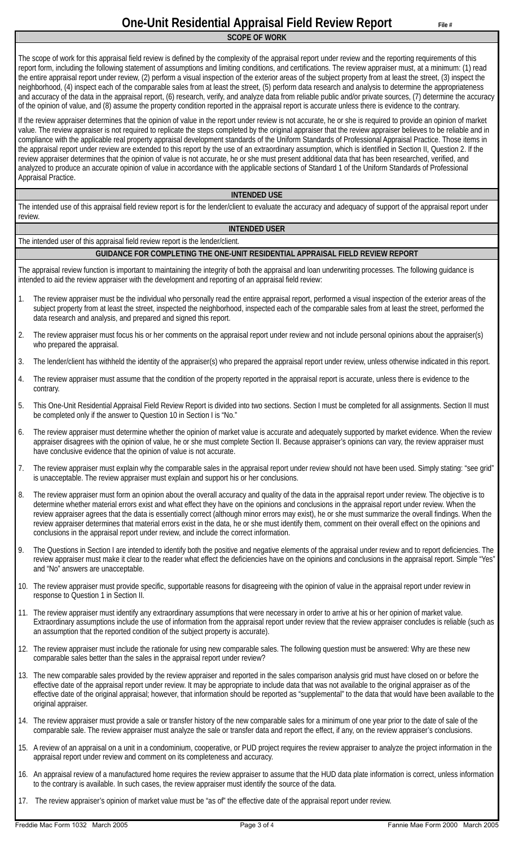**SCOPE OF WORK**

The scope of work for this appraisal field review is defined by the complexity of the appraisal report under review and the reporting requirements of this report form, including the following statement of assumptions and limiting conditions, and certifications. The review appraiser must, at a minimum: (1) read the entire appraisal report under review, (2) perform a visual inspection of the exterior areas of the subject property from at least the street, (3) inspect the neighborhood, (4) inspect each of the comparable sales from at least the street, (5) perform data research and analysis to determine the appropriateness and accuracy of the data in the appraisal report, (6) research, verify, and analyze data from reliable public and/or private sources, (7) determine the accuracy of the opinion of value, and (8) assume the property condition reported in the appraisal report is accurate unless there is evidence to the contrary.

If the review appraiser determines that the opinion of value in the report under review is not accurate, he or she is required to provide an opinion of market value. The review appraiser is not required to replicate the steps completed by the original appraiser that the review appraiser believes to be reliable and in compliance with the applicable real property appraisal development standards of the Uniform Standards of Professional Appraisal Practice. Those items in the appraisal report under review are extended to this report by the use of an extraordinary assumption, which is identified in Section II, Question 2. If the review appraiser determines that the opinion of value is not accurate, he or she must present additional data that has been researched, verified, and analyzed to produce an accurate opinion of value in accordance with the applicable sections of Standard 1 of the Uniform Standards of Professional Appraisal Practice.

#### **INTENDED USE**

The intended use of this appraisal field review report is for the lender/client to evaluate the accuracy and adequacy of support of the appraisal report under review.

### **INTENDED USER**

The intended user of this appraisal field review report is the lender/client.

### **GUIDANCE FOR COMPLETING THE ONE-UNIT RESIDENTIAL APPRAISAL FIELD REVIEW REPORT**

The appraisal review function is important to maintaining the integrity of both the appraisal and loan underwriting processes. The following guidance is intended to aid the review appraiser with the development and reporting of an appraisal field review:

- 1. The review appraiser must be the individual who personally read the entire appraisal report, performed a visual inspection of the exterior areas of the subject property from at least the street, inspected the neighborhood, inspected each of the comparable sales from at least the street, performed the data research and analysis, and prepared and signed this report.
- 2. The review appraiser must focus his or her comments on the appraisal report under review and not include personal opinions about the appraiser(s) who prepared the appraisal.
- 3. The lender/client has withheld the identity of the appraiser(s) who prepared the appraisal report under review, unless otherwise indicated in this report.
- 4. The review appraiser must assume that the condition of the property reported in the appraisal report is accurate, unless there is evidence to the contrary.
- 5. This One-Unit Residential Appraisal Field Review Report is divided into two sections. Section I must be completed for all assignments. Section II must be completed only if the answer to Question 10 in Section I is "No."
- 6. The review appraiser must determine whether the opinion of market value is accurate and adequately supported by market evidence. When the review appraiser disagrees with the opinion of value, he or she must complete Section II. Because appraiser's opinions can vary, the review appraiser must have conclusive evidence that the opinion of value is not accurate.
- 7. The review appraiser must explain why the comparable sales in the appraisal report under review should not have been used. Simply stating: "see grid" is unacceptable. The review appraiser must explain and support his or her conclusions.
- 8. The review appraiser must form an opinion about the overall accuracy and quality of the data in the appraisal report under review. The objective is to determine whether material errors exist and what effect they have on the opinions and conclusions in the appraisal report under review. When the review appraiser agrees that the data is essentially correct (although minor errors may exist), he or she must summarize the overall findings. When the review appraiser determines that material errors exist in the data, he or she must identify them, comment on their overall effect on the opinions and conclusions in the appraisal report under review, and include the correct information.
- 9. The Questions in Section I are intended to identify both the positive and negative elements of the appraisal under review and to report deficiencies. The review appraiser must make it clear to the reader what effect the deficiencies have on the opinions and conclusions in the appraisal report. Simple "Yes" and "No" answers are unacceptable.
- 10. The review appraiser must provide specific, supportable reasons for disagreeing with the opinion of value in the appraisal report under review in response to Question 1 in Section II.
- 11. The review appraiser must identify any extraordinary assumptions that were necessary in order to arrive at his or her opinion of market value. Extraordinary assumptions include the use of information from the appraisal report under review that the review appraiser concludes is reliable (such as an assumption that the reported condition of the subject property is accurate).
- 12. The review appraiser must include the rationale for using new comparable sales. The following question must be answered: Why are these new comparable sales better than the sales in the appraisal report under review?
- 13. The new comparable sales provided by the review appraiser and reported in the sales comparison analysis grid must have closed on or before the effective date of the appraisal report under review. It may be appropriate to include data that was not available to the original appraiser as of the effective date of the original appraisal; however, that information should be reported as "supplemental" to the data that would have been available to the original appraiser.
- 14. The review appraiser must provide a sale or transfer history of the new comparable sales for a minimum of one year prior to the date of sale of the comparable sale. The review appraiser must analyze the sale or transfer data and report the effect, if any, on the review appraiser's conclusions.
- 15. A review of an appraisal on a unit in a condominium, cooperative, or PUD project requires the review appraiser to analyze the project information in the appraisal report under review and comment on its completeness and accuracy.
- 16. An appraisal review of a manufactured home requires the review appraiser to assume that the HUD data plate information is correct, unless information to the contrary is available. In such cases, the review appraiser must identify the source of the data.
- 17. The review appraiser's opinion of market value must be "as of" the effective date of the appraisal report under review.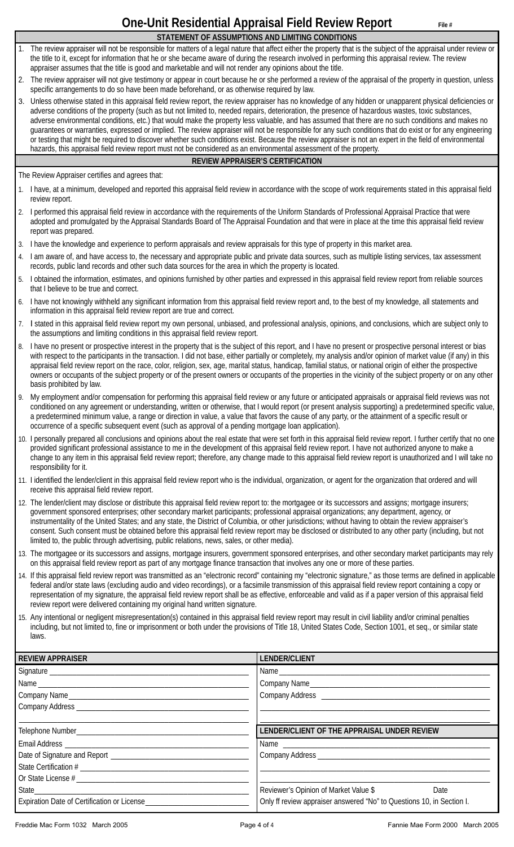# **One-Unit Residential Appraisal Field Review Report** File #

- **STATEMENT OF ASSUMPTIONS AND LIMITING CONDITIONS**  The review appraiser will not be responsible for matters of a legal nature that affect either the property that is the subject of the appraisal under review or the title to it, except for information that he or she became aware of during the research involved in performing this appraisal review. The review appraiser assumes that the title is good and marketable and will not render any opinions about the title.
- 2. The review appraiser will not give testimony or appear in court because he or she performed a review of the appraisal of the property in question, unless specific arrangements to do so have been made beforehand, or as otherwise required by law.
- 3. Unless otherwise stated in this appraisal field review report, the review appraiser has no knowledge of any hidden or unapparent physical deficiencies or adverse conditions of the property (such as but not limited to, needed repairs, deterioration, the presence of hazardous wastes, toxic substances, adverse environmental conditions, etc.) that would make the property less valuable, and has assumed that there are no such conditions and makes no guarantees or warranties, expressed or implied. The review appraiser will not be responsible for any such conditions that do exist or for any engineering or testing that might be required to discover whether such conditions exist. Because the review appraiser is not an expert in the field of environmental hazards, this appraisal field review report must not be considered as an environmental assessment of the property.

### **REVIEW APPRAISER'S CERTIFICATION**

The Review Appraiser certifies and agrees that:

- 1. I have, at a minimum, developed and reported this appraisal field review in accordance with the scope of work requirements stated in this appraisal field review report.
- 2. I performed this appraisal field review in accordance with the requirements of the Uniform Standards of Professional Appraisal Practice that were adopted and promulgated by the Appraisal Standards Board of The Appraisal Foundation and that were in place at the time this appraisal field review report was prepared.
- 3. I have the knowledge and experience to perform appraisals and review appraisals for this type of property in this market area.
- 4. I am aware of, and have access to, the necessary and appropriate public and private data sources, such as multiple listing services, tax assessment records, public land records and other such data sources for the area in which the property is located.
- 5. I obtained the information, estimates, and opinions furnished by other parties and expressed in this appraisal field review report from reliable sources that I believe to be true and correct.
- 6. I have not knowingly withheld any significant information from this appraisal field review report and, to the best of my knowledge, all statements and information in this appraisal field review report are true and correct.
- 7. I stated in this appraisal field review report my own personal, unbiased, and professional analysis, opinions, and conclusions, which are subject only to the assumptions and limiting conditions in this appraisal field review report.
- 8. I have no present or prospective interest in the property that is the subject of this report, and I have no present or prospective personal interest or bias with respect to the participants in the transaction. I did not base, either partially or completely, my analysis and/or opinion of market value (if any) in this appraisal field review report on the race, color, religion, sex, age, marital status, handicap, familial status, or national origin of either the prospective owners or occupants of the subject property or of the present owners or occupants of the properties in the vicinity of the subject property or on any other basis prohibited by law.
- 9. My employment and/or compensation for performing this appraisal field review or any future or anticipated appraisals or appraisal field reviews was not conditioned on any agreement or understanding, written or otherwise, that I would report (or present analysis supporting) a predetermined specific value, a predetermined minimum value, a range or direction in value, a value that favors the cause of any party, or the attainment of a specific result or occurrence of a specific subsequent event (such as approval of a pending mortgage loan application).
- 10. I personally prepared all conclusions and opinions about the real estate that were set forth in this appraisal field review report. I further certify that no one provided significant professional assistance to me in the development of this appraisal field review report. I have not authorized anyone to make a change to any item in this appraisal field review report; therefore, any change made to this appraisal field review report is unauthorized and I will take no responsibility for it.
- 11. I identified the lender/client in this appraisal field review report who is the individual, organization, or agent for the organization that ordered and will receive this appraisal field review report.
- 12. The lender/client may disclose or distribute this appraisal field review report to: the mortgagee or its successors and assigns; mortgage insurers; government sponsored enterprises; other secondary market participants; professional appraisal organizations; any department, agency, or instrumentality of the United States; and any state, the District of Columbia, or other jurisdictions; without having to obtain the review appraiser's consent. Such consent must be obtained before this appraisal field review report may be disclosed or distributed to any other party (including, but not limited to, the public through advertising, public relations, news, sales, or other media).
- 13. The mortgagee or its successors and assigns, mortgage insurers, government sponsored enterprises, and other secondary market participants may rely on this appraisal field review report as part of any mortgage finance transaction that involves any one or more of these parties.
- 14. If this appraisal field review report was transmitted as an "electronic record" containing my "electronic signature," as those terms are defined in applicable federal and/or state laws (excluding audio and video recordings), or a facsimile transmission of this appraisal field review report containing a copy or representation of my signature, the appraisal field review report shall be as effective, enforceable and valid as if a paper version of this appraisal field review report were delivered containing my original hand written signature.
- 15. Any intentional or negligent misrepresentation(s) contained in this appraisal field review report may result in civil liability and/or criminal penalties including, but not limited to, fine or imprisonment or both under the provisions of Title 18, United States Code, Section 1001, et seq., or similar state laws.

| <b>REVIEW APPRAISER</b> | LENDER/CLIENT                                                                                                                                                                                                                  |  |  |  |
|-------------------------|--------------------------------------------------------------------------------------------------------------------------------------------------------------------------------------------------------------------------------|--|--|--|
|                         | Name and the state of the state of the state of the state of the state of the state of the state of the state of the state of the state of the state of the state of the state of the state of the state of the state of the s |  |  |  |
|                         | Company Name                                                                                                                                                                                                                   |  |  |  |
|                         |                                                                                                                                                                                                                                |  |  |  |
|                         |                                                                                                                                                                                                                                |  |  |  |
|                         |                                                                                                                                                                                                                                |  |  |  |
|                         | LENDER/CLIENT OF THE APPRAISAL UNDER REVIEW                                                                                                                                                                                    |  |  |  |
|                         |                                                                                                                                                                                                                                |  |  |  |
|                         |                                                                                                                                                                                                                                |  |  |  |
|                         |                                                                                                                                                                                                                                |  |  |  |
|                         |                                                                                                                                                                                                                                |  |  |  |
|                         | Reviewer's Opinion of Market Value \$<br>Date                                                                                                                                                                                  |  |  |  |
|                         | Only ff review appraiser answered "No" to Questions 10, in Section I.                                                                                                                                                          |  |  |  |